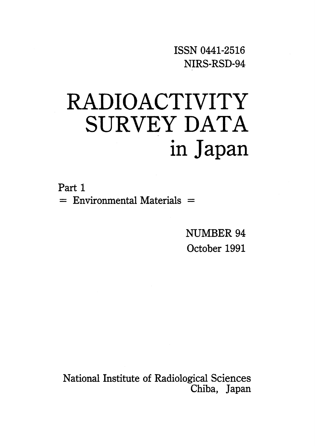ISSNO441-2516 NIRS-RSD・94

# RADIOACTIVITY SURVEY DATA in Japan

Part 1  $=$  Environmental Materials  $=$ 

> NUMBER 94 October 1991

National Institute of Radiological Sciences Chiba, Japan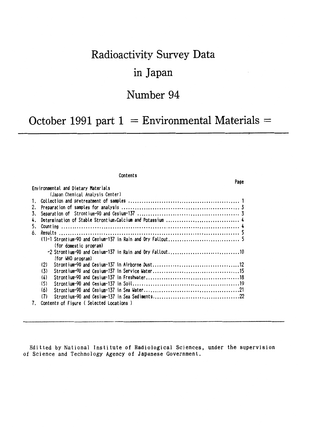# **Radioactivity Survey Data** in Japan

## Number 94

## October 1991 part  $1 =$  Environmental Materials  $=$

#### **Contents**

Environmental and Dietary Materials (Japan Chemical Analysis Center) (for domestic program) (for WHO program)  $(2)$  $(3)$  $(4)$  $(5)$  $(6)$ 7. Contents of Figure (Selected Locations)

Editted by National Institute of Radiological Sciences, under the supervision of Science and Technology Agency of Japanese Government.

#### Page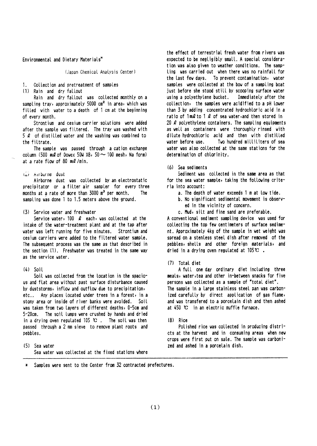Environmental and Dietary Materials\*

(Japan Chemical Analysis Center)

 $1 -$ Collection and pretreatment of samples

(1) Rain and dry fallout

Rain and dry fallout was collected monthly on a sampling tray, approximately 5000 cm<sup>2</sup> in area, which was filled with water to a depth of 1 cm at the beginning of every month.

Strontium and cesium carrier solutions were added after the sample was filtered. The tray was washed with  $5 \ell$  of distilled vater and the vashing vas combined to the filtrate.

The sample was passed through a cation exchange column (500  $m\ell$  of Dowex 50W X8, 50  $\sim$  100 mesh, Na form) at a rate flow of 80  $m\ell$ /min.

#### (2) Airborne dust

Airborne dust was collected by an electrostatic precipitator or a filter air sampler for every three months at a rate of more than 3000 m<sup>3</sup> per month. The sampling was done 1 to 1.5 meters above the ground.

#### (3) Service water and freshwater

Service water, 100  $\ell$  each, was collected at the intake of the water-treatment plant and at the tap after water was left running for five minutes. Strontium and cesium carriers were added to the filtered water sample. The subsequent process was the same as that described in the section (1). Freshwater was treated in the same way as the service water.

#### $(4)$  Soit

Soil was collected from the location in the spacious and flat area without past surface disturbance caused by duststorms, inflow and outflow due to precipitation, etc.. Any places located under trees in a forest, in a stony area or inside of river banks were avoided. Soit was taken from two layers of different depths, 0-5cm and 5-20cm. The soil lumps were crushed by hands and dried in a drying oven regulated 105  $\mathbb{C}$ . The soil was then passed through a 2 mm sieve to remove plant roots and pebbles.

(5) Sea water Sea water was collected at the fixed stations where the effect of terrestrial fresh water from rivers was expected to be negligibly small. A special consideration was also given to weather conditions. The sampling was carried out when there was no rainfall for the last few days. To prevent contamination, water samples were collected at the bow of a sampling boat just before she stood still by scooping surface water using a polyethylene bucket. Immediately after the collection, the samples were acidified to a pH lower than 3 by adding concentrated hydrochloric acid in a ratio of  $1 \text{ m2}$  to  $1 \text{ l2}$  of sea vater, and then stored in 20  $\ell$  polyethylene containers. The sampling equipments as well as containers were thoroughly rinsed with dilute hydrochloric acid and then with distilled vater before use. Two hundred milliliters of sea water was also collected at the same stations for the determination of chlorinity.

#### (6) Sea sediments

Sediment was collected in the same area as that for the sea water sample, taking the following criteria into account:

- a. The depth of water exceeds 1 m at low tide.
- b. No significant sedimental movement is observed in the vicinity of concern.
- c. Mud, silt and fine sand are preferable.

A conventional sediment sampling device was used for collecting the top few centimeters of surface sediment. Approximately 4kg of the sample in wet weight was spread on a stenless steel dish after removed of the pebbles, shells and other foreign materials, and dried in a drying oven regulated at  $105^\circ \text{C}$ .

#### (7) Total diet

A full one day ordinary diet including three meals, water, tea and other in-between snacks for five persons was collected as a sample of "total diet". The sample in a large stainless steel pan was carbonized carefully by direct application of gas flame, and was transfered to a porcelain dish and then ashed at  $450$  °C in an electric muffle furnace.

#### $(8)$  Rice

Polished rice was collected in producing districts at the harvest and in consuming areas when new crops were first put on sale. The sample was carbonized and ashed in a porcelain dish.

Samples were sent to the Center from 32 contracted prefectures.  $\ast$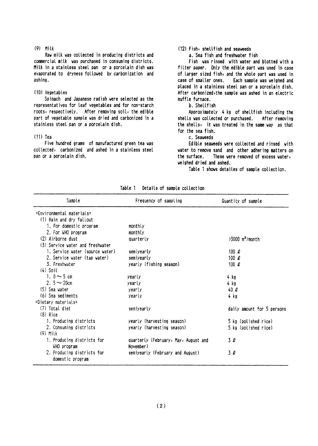#### $(9)$  Milk

Raw milk was collected in producing districts and commercial milk was purchased in consuming districts. Milk in a stainless steel pan or a porcelain dish was evaporated to dryness followed by carbonization and ashing.

#### (10) Vegetables

Spinach and Japanese radish were selected as the representatives for leaf vegetables and for non-starch roots, respectively. After removing soil, the edible part of vegetable sample was dried and carbonized in a stainless steel pan or a porcelain dish.

#### $(11)$  Tea

Five hundred grams of manufactured green tea was collected, carbonized and ashed in a stainless steel pan or a porcelain dish.

#### (12) Fish, shellfish and seaveeds

a. Sea fish and freshwater fish

Fish was rinsed with water and blotted with a filter paper. Only the edible part was used in case of larger sized fish, and the whole part was used in case of smaller ones. Each sample was weighed and placed in a stainless steel pan or a porcelain dish. After carbonized, the sample was ashed in an electric muffle furnace.

#### b. Shellfish

Approximately 4 kg of shellfish including the shells was collected or purchased. After removing the shells, it was treated in the same way as that for the sea fish.

c. Seaveeds

Edible seaweeds were collected and rinsed with water to remove sand and other adhering matters on the surface. These were removed of excess water, veighed dried and ashed.

Table 1 shows detailes of sample collection.

| Sample                           | Frequency of sampling                | Quantity of sample            |
|----------------------------------|--------------------------------------|-------------------------------|
| =Environmental materials=        |                                      |                               |
| (1) Rain and dry fallout         |                                      |                               |
| 1. For domestic program          | monthly                              |                               |
| 2. For WHO program               | monthly                              |                               |
| (2) Airborne dust                | quarterly                            | $>3000$ m <sup>3</sup> /month |
| (3) Service water and freshwater |                                      |                               |
| 1. Service water (source water)  | semiyearly                           | 100 $\rho$                    |
| 2. Service water (tap water)     | semiyearly                           | 100 $\rho$                    |
| 3. Freshvater                    | yearly (fishing season)              | 100 $\rho$                    |
| $(4)$ Soil                       |                                      |                               |
| 1. $0 \sim 5$ cm                 | yearly                               | 4 kg                          |
| 2. $5 \sim 20$ cm                | yearly                               | 4 kg                          |
| (5) Sea vater                    | yearly                               | $40\ell$                      |
| (6) Sea sediments                | yearly                               | 4 kg                          |
| $=$ Dietary materials $=$        |                                      |                               |
| (7) Total diet                   | semiyearly                           | daily amount for 5 persons    |
| $(8)$ Rice                       |                                      |                               |
| 1. Producing districts           | yearly (harvesting season)           | 5 kg (polished rice)          |
| 2. Consuming districts           | yearly (harvesting season)           | 5 kg (polished rice)          |
| $(9)$ Milk                       |                                      |                               |
| 1. Producing districts for       | quarterly (February, May, August and | 3 l                           |
| WHO program                      | November)                            |                               |
| 2. Producing districts for       | semiyearly (February and August)     | 3Q                            |
| domestic program                 |                                      |                               |

Table 1 Details of sample collection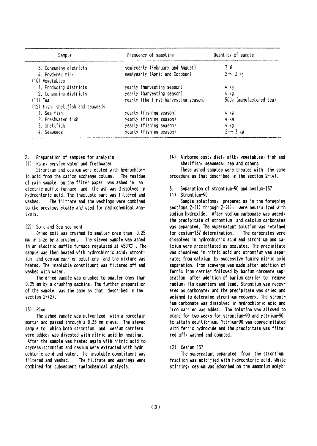| Sample                            | Frequency of sampling                | Quantity of sample      |
|-----------------------------------|--------------------------------------|-------------------------|
| 3. Consuming districts            | semiyearly (February and August)     | 3 Q                     |
| 4. Powdered milk                  | semiyearly (April and October)       | $2 \sim 3$ kg           |
| (10) Vegetables                   |                                      |                         |
| 1. Producing districts            | yearly (harvesting season)           | 4 kg                    |
| 2. Consuming districts            | yearly (harvesting season)           | 4 kg                    |
| $(11)$ Tea                        | yearly (the first harvesting season) | 500g (manufactured tea) |
| (12) Fish, shellfish and seaweeds |                                      |                         |
| 1. Sea fish                       | gearly (fishing season)              | 4 kg                    |
| 2. Freshwater fish                | yearly (fishing season)              | 4 kg                    |
| 3. Shellfish                      | yearly (fishing season)              | 4 kg                    |
| 4. Seaveeds                       | yearly (fishing season)              | $2 \sim 3$ kg           |

Preparation of samples for analysis  $\mathcal{P}$ 

(1) Rain, service water and freshwater

Strontium and cesium were eluted with hydrochloric acid from the cation exchange column. The residue of rain sample on the filter paper was ashed in an electric muffle furnace and the ash was dissolved in hydrochloric acid. The insoluble part was filtered and washed. The filtrate and the washings were combined to the previous eluate and used for radiochemical analysis.

#### (2) Soil and Sea sediment

Dried soil was crushed to smaller ones than 0.25 mm in size by a crusher. The sieved sample was ashed in an electric muffle furnace regulated at  $450 \, \text{C}$ . The sample was then heated with hydrochloric acid, strontjum and cesium carrier solutions and the mixture was heated. The insoluble constituent was filtered off and washed with water.

The dried sample was crushed to smaller ones than 0.25 mm by a crushing machine. The further preparation of the sample was the same as that described in the section  $2-(2)$ .

#### $(3)$  Rice

The ashed sample was pulverized with a porcelain mortar and passed through a 0.35 mm sieve. The sieved sample to which both strontium and cesium carriers were added, was digested with nitric acid by heating.

After the sample was heated again with nitric acid to dryness, strontium and cesium were extracted with hydrochloric acid and water. The insoluble constituent was filtered and washed. The filtrate and washings were combined for subsequent radiochemical analysis.

(4) Airborne dust, diet, milk, vegetables, fish and shellfish, seaweeds, tea and others

These ashed samples vere treated with the same procedure as that described in the section 2-(4).

Separation of strontium-90 and cesium-137 3.

#### (1) Strontium-90

Sample solutions, prepared as in the foregoing sections  $2-(1)$  through  $2-(4)$ , were neutralized with sodium hydroxide. After sodium carbonate was added, the precipitate of strontium and calcium carbonates was separated. The supernatant solution was retained for cesium-137 determination. The carbonates were dissolved in hydrochloric acid and strontium and catoium were precipitated as oxatates. The precipitate was dissolved in nitric acid and strontium was separated from calcium by successive fuming nitric acid separation. Iron scavenge was made after addition of ferric iron carrier followed by barium chromate separation after addition of barium carrier to remove radium, its daughters and lead. Strontium was recovered as carbonate, and the precipitate was dried and weighed to determine strontium recovery. The strontium carbonate was dissolved in hydrochloric acid and iron carrier was added. The solution was allowed to stand for two weeks for strontium-90 and yttrium-90 to attain equilibrium. Yttrium-90 was coprecipitated with ferric hydroxide and the precipitate was filtered off, vashed and counted.

 $(2)$  Cesium-137

The supernatant separated from the strontium fraction was acidified with hydrochloric acid. While stirring, cesium was adsorbed on the ammonium molyb-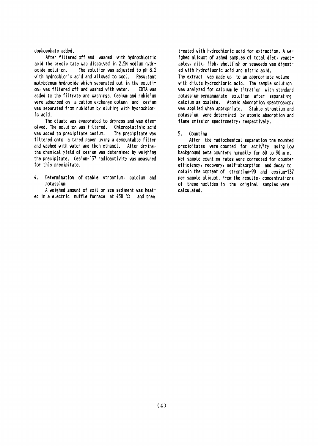#### dophosphate added.

After filtered off and washed with hydrochlotric acid the precipitate was dissolved in 2.5N sodium hydr-The solution was adjusted to pH 8.2 oxide solution. with hydrochloric acid and allowed to cool. Resultant molybdenum hydroxide which separated out in the solution, was filtered off and washed with water. EDTA vas added to the filtrate and washings. Cesium and rubidium were adsorbed on a cation exchange column and cesium was separated from rubidium by eluting with hydrochloric acid.

The eluate was evaporated to dryness and was dissolved. The solution was filtered. Chloroplatinic acid was added to precipitate cesium. The precipitate vas filtered onto a tared paper using a demountable filter and washed with water and then ethanol. After drying, the chemical yield of cesium was determined by weighing the precipitate. Cesium-137 radioactivity was measured for this precipitate.

4. Determination of stable strontium, calcium and potassium

A weighed amount of soil or sea sediment was heated in a electric muffle furnace at  $450$  C and then

treated with hydrochloric acid for extraction. A weighed aliquot of ashed samples of total diet, vegetables, milk, fish, shellfish or seaweeds was digested with hydrofluoric acid and nitric acid. The extract was made up to an appropriate volume with dilute hydrochloric acid. The sample solution was analyzed for calcium by titration with standard potassium permanganate solution after separating calcium as oxalate. Atomic absorption spectroscopy was applied when appropriate. Stable strontium and potassium were determined by atomic absorption and flame emission spectrometry, respectively.

#### 5. Counting

After the radiochemical separation the mounted precipitates were counted for activity using low background beta counters normally for 60 to 90 min. Net sample counting rates were corrected for counter efficiency, recovery, self-absorption and decay to obtain the content of strontium-90 and cesium-137 per sample aliquot. From the results, concentrations of these nuclides in the original samples were calculated.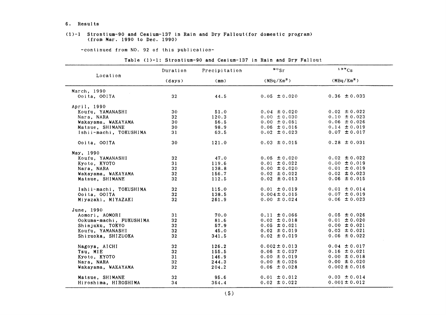#### 6. Results

#### (1)-1 Strontium-90 and Cesium-137in Rain and Dry Fallout(for domestic program) (from Mar. 1990 to Dec. 1990)

-COntinued from NO.92 0f this publication-

#### Table(1)-1:Strontium-90 and Cesium-137in Rain and Dry Fallout

|                         | Duration        | Precipitation | $\bullet \circ$ <sub>Sr</sub> | 137Cs                  |
|-------------------------|-----------------|---------------|-------------------------------|------------------------|
| Location                | (days)          | (mm)          | (MBq/Km <sup>2</sup> )        | (MBq/Km <sup>2</sup> ) |
| March, 1990             |                 |               |                               |                        |
| Ooita, OOITA            | 32              | 44.5          | $0.05 \pm 0.020$              | $0.36 \pm 0.033$       |
| April, 1990             |                 |               |                               |                        |
| Koufu, YAMANASHI        | 30              | 51.0          | $0.04 \pm 0.020$              | $0.02 \pm 0.022$       |
| Nara, NARA              | 32              | 120.3         | $0.00 \pm 0.030$              | $0.10 \pm 0.023$       |
| Wakayama, WAKAYAMA      | 30              | 56.5          | $0.00 \pm 0.051$              | $0.06 \pm 0.026$       |
| Matsue, SHIMANE         | 30              | 98.9          | $0.06 \pm 0.016$              | $0.14 \pm 0.019$       |
| Ishii-machi, TOKUSHIMA  | 31              | 63.5          | $0.02 \pm 0.023$              | $0.07 \pm 0.017$       |
| Ooita, OOITA            | 30              | 121.0         | $0.03 \pm 0.015$              | $0.28 \pm 0.031$       |
| May, 1990               |                 |               |                               |                        |
| Koufu, YAMANASHI        | 32              | 47.0          | $0.05 \pm 0.020$              | $0.02 \pm 0.022$       |
| Kyoto, KYOTO            | 31              | 119.6         | $0.01 \pm 0.022$              | $0.00 \pm 0.019$       |
| Nara, NARA              | 32              | 138.8         | $0.00 \pm 0.020$              | $0.01 \pm 0.019$       |
| Wakayama, WAKAYAMA      | 32 <sub>2</sub> | 156.7         | $0.02 \pm 0.022$              | $0.02 \pm 0.023$       |
| Matsue, SHIMANE         | 32              | 112.5         | $0.02 \pm 0.013$              | $0.06 \pm 0.015$       |
| Ishii-machi, TOKUSHIMA  | 32 <sub>2</sub> | 115.0         | $0.01 \pm 0.019$              | $0.01 \pm 0.014$       |
| Ooita, OOITA            | 32 <sub>2</sub> | 138.5         | $0.004 \pm 0.015$             | $0.07 \pm 0.019$       |
| Miyazaki, MIYAZAKI      | 32 <sub>2</sub> | 261.9         | $0.00 \pm 0.024$              | $0.06 \pm 0.023$       |
| June, 1990              |                 |               |                               |                        |
| Aomori, AOMORI          | 31              | 70.0          | $0.11 \pm 0.066$              | $0.05 \pm 0.026$       |
| Ookuma-machi, FUKUSHIMA | 32              | 81.6          | $0.02 \pm 0.018$              | $0.01 \pm 0.020$       |
| Shinjuku, TOKYO         | 32              | 57.9          | $0.05 \pm 0.021$              | $0.00 \pm 0.021$       |
| Koufu, YAMANASHI        | 32              | 45.0          | $0.02 \pm 0.019$              | $0.03 \pm 0.021$       |
| Shizuoka, SHIZUOKA      | 32              | 341.5         | $0.02 \pm 0.019$              | $0.06 \pm 0.022$       |
| Nagoya, AICHI           | 32              | 126.2         | $0.002 \pm 0.013$             | $0.04 \pm 0.017$       |
| Tsu, MIE                | 32 <sub>2</sub> | 155.5         | $0.06 \pm 0.037$              | $0.16 \pm 0.021$       |
| Kyoto, KYOTO            | 31              | 146.9         | $0.00 \pm 0.019$              | $0.00 \pm 0.018$       |
| Nara, NARA              | 32              | 244.3         | $0.00 \pm 0.026$              | $0.00 \pm 0.020$       |
| Wakayama, WAKAYAMA      | 32              | 204.2         | $0.06 \pm 0.028$              | $0.002 \pm 0.016$      |
| Matsue, SHIMANE         | 32              | 95.6          | $0.01 \pm 0.012$              | $0.03 \pm 0.014$       |
| Hiroshima, HIROSHIMA    | 34              | 364.4         | $0.02 \pm 0.022$              | $0.001 \pm 0.012$      |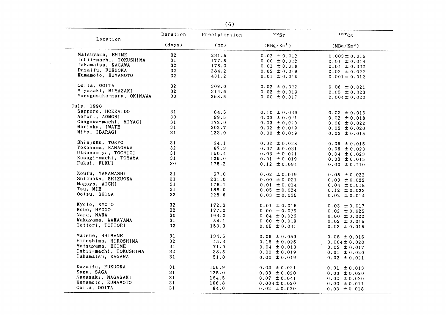| Location                 | Duration        | Precipitation | $\circ$ osr       | 137Cs             |
|--------------------------|-----------------|---------------|-------------------|-------------------|
|                          | (days)          | (mm)          | $(MBq/Km^2)$      | $(MBq/Km^2)$      |
| Matsuyama, EHIME         | ${\bf 32}$      | 231.5         | $0.02 \pm 0.012$  | $0.003 \pm 0.016$ |
| Ishii-machi, TOKUSHIMA   | 31              | 177.5         | $0.00 \pm 0.022$  | $0.01 \pm 0.014$  |
| Takamatsu, KAGAWA        | 32 <sub>2</sub> | 178.0         | $0.01 \pm 0.018$  | $0.04 \pm 0.022$  |
| Dazaifu, FUKUOKA         | 32              | 284.2         | $0.03 \pm 0.019$  | $0.02 \pm 0.022$  |
| Kumamoto, KUMAMOTO       | 32              | 431.2         | $0.01 \pm 0.019$  | $0.001 \pm 0.012$ |
| Ooita, OOITA             | 32 <sub>2</sub> | 309.0         | $0.02 \pm 0.022$  | $0.06 \pm 0.021$  |
| Miyazaki, MIYAZAKI       | 32              | 314.6         | $0.02 \pm 0.019$  | $0.05 \pm 0.023$  |
| Yonagusuku-mura, OKINAWA | 30              | 268.5         | $0.00 \pm 0.017$  | $0.004 \pm 0.020$ |
| July, 1990               |                 |               |                   |                   |
| Sapporo, HOKKAIDO        | 31              | 64.5          | $0.10 \pm 0.039$  | $0.03 \pm 0.016$  |
| Aomori, AOMORI           | 30              | 99.5          | $0.03 \pm 0.021$  | $0.02 \pm 0.018$  |
| Onagawa-machi, MIYAGI    | 31              | 172.0         | $0.03 \pm 0.010$  | $0.06 \pm 0.022$  |
| Morioka, IWATE           | 31              | 302.7         | $0.02 \pm 0.019$  | $0.03 \pm 0.020$  |
| Mito, IBARAGI            | 31              | 123.0         | $0.00 \pm 0.019$  | $0.03 \pm 0.015$  |
|                          |                 |               |                   |                   |
| Shinjuku, TOKYO          | 31              | 94.1          | $0.02 \pm 0.028$  | $0.06 \pm 0.015$  |
| Yokohama, KANAGAWA       | 32              | 87.3          | $0.07 \pm 0.031$  | $0.06 \pm 0.023$  |
| Utsunomiya, TOCHIGI      | 31              | 150.4         | $0.03 \pm 0.011$  | $0.04 \pm 0.023$  |
| Kosugi-machi, TOYAMA     | 31              | 126.0         | $0.01 \pm 0.019$  | $0.03 \pm 0.015$  |
| Fukui, FUKUI             | 30              | 175.2         | $0.12 \pm 0.094$  | $0.00 \pm 0.110$  |
| Koufu, YAMANASHI         | 31              | 67.0          | $0.02 \pm 0.019$  | $0.05 \pm 0.022$  |
| Shizuoka, SHIZUOKA       | 31              | 231.0         | $0.00 \pm 0.021$  | $0.03 \pm 0.022$  |
| Nagoya, AICHI            | 31              | 178.1         | $0.01 \pm 0.014$  | $0.04 \pm 0.018$  |
| Tsu, MIE                 | 31              | 188.0         | $0.05 \pm 0.024$  | $0.12 \pm 0.023$  |
| Ootsu, SHIGA             | 32              | 228.6         | $0.03 \pm 0.035$  | $0.02 \pm 0.014$  |
| Kyoto, KYOTO             | 32              | 172.3         | $0.01 \pm 0.015$  |                   |
| Kobe, HYOGO              | 32              | 177.2         | $0.00 \pm 0.029$  | $0.03 \pm 0.017$  |
| Nara, NARA               | 30              | 193.0         | $0.04 \pm 0.026$  | $0.02 \pm 0.025$  |
| Wakayama, WAKAYAMA       | 31              | 54.1          | $0.00 \pm 0.019$  | $0.00 \pm 0.022$  |
| Tottori, TOTTORI         | 32              | 153.3         |                   | $0.02 \pm 0.015$  |
|                          |                 |               | $0.05 \pm 0.041$  | $0.02 \pm 0.015$  |
| Matsue, SHIMANE          | 31              | 134.5         | $0.06 \pm 0.059$  | $0.08 \pm 0.016$  |
| Hiroshima, HIROSHIMA     | 32              | 45.3          | $0.18 \pm 0.026$  | $0.004 \pm 0.020$ |
| Matsuyama, EHIME         | 31              | 71.0          | $0.04 \pm 0.013$  | $0.03 \pm 0.017$  |
| Ishii-machi, TOKUSHIMA   | 32              | 38.5          | $0.00 \pm 0.019$  | $0.01 \pm 0.020$  |
| Takamatsu, KAGAWA        | 31              | 51.0          | $0.00 \pm 0.019$  | $0.02 \pm 0.021$  |
| Dazaifu, FUKUOKA         | 31              | 156.9         | $0.03 \pm 0.021$  | $0.01 \pm 0.013$  |
| Saga, SAGA               | 31              | 125.0         | $0.03 \pm 0.020$  | $0.03 \pm 0.020$  |
| Nagasaki, NAGASAKI       | 31              | 164.5         | $0.07 \pm 0.041$  | $0.02 \pm 0.020$  |
| Kumamoto, KUMAMOTO       | 31              | 186.8         | $0.004 \pm 0.020$ | $0.00 \pm 0.011$  |
| Ooita, OOITA             | 31              | 84.0          | $0.02 \pm 0.020$  | $0.03 \pm 0.018$  |
|                          |                 |               |                   |                   |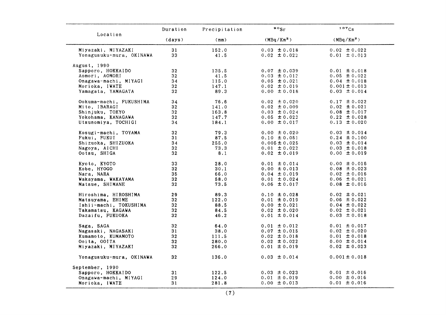|                          | Duration        | Precipitation | $\circ \circ_{\mathsf{Sr}}$ | 137Cs                  |
|--------------------------|-----------------|---------------|-----------------------------|------------------------|
| Location                 | (days)          | (mm)          | $(MBq/Km^2)$                | (MBq/Km <sup>2</sup> ) |
| Miyazaki, MIYAZAKI       | 31              | 152.0         | $0.03 \pm 0.018$            | $0.02 \pm 0.022$       |
| Yonagusuku-mura, OKINAWA | 33              | 41.5          | $0.02 \pm 0.022$            | $0.01 \pm 0.013$       |
| August, 1990             |                 |               |                             |                        |
| Sapporo, HOKKAIDO        | 32 <sub>2</sub> | 135.5         | $0.07 \pm 0.039$            | $0.01 \pm 0.018$       |
| Aomori, AOMORI           | 32              | 41.5          | $0.03 \pm 0.012$            | $0.05 \pm 0.022$       |
| Onagawa-machi, MIYAGI    | 34              | 115.0         | $0.05 \pm 0.021$            | $0.04 \pm 0.018$       |
| Morioka, IWATE           | 32              | 147.1         | $0.02 \pm 0.019$            | $0.001 \pm 0.013$      |
| Yamagata, YAMAGATA       | $32\,$          | 89.3          | $0.00 \pm 0.018$            | $0.03 \pm 0.014$       |
| Ookuma-machi, FUKUSHIMA  | 34              | 76.6          | $0.02 \pm 0.020$            | $0.17 \pm 0.022$       |
| Mito, IBARAGI            | 32              | 141.0         | $0.02 \pm 0.009$            | $0.02 \pm 0.021$       |
| Shinjuku, TOKYO          | 32              | 163.8         | $0.03 \pm 0.024$            | $0.08 \pm 0.017$       |
| Yokohama, KANAGAWA       | 32              | 147.7         | $0.05 \pm 0.022$            | $0.22 \pm 0.028$       |
| Utsunomiya, TOCHIGI      | 34              | 184.1         | $0.00 \pm 0.017$            | $0.13 \pm 0.020$       |
| Kosugi-machi, TOYAMA     | 32 <sub>2</sub> | 79.3          | $0.00 \pm 0.020$            | $0.03 \pm 0.014$       |
| Fukui, FUKUI             | 31              | 87.5          | $0.10 \pm 0.051$            | $0.24 \pm 0.100$       |
| Shizuoka, SHIZUOKA       | 34              | 255.0         | $0.005 \pm 0.025$           | $0.03 \pm 0.014$       |
| Nagoya, AICHI            | 32 <sub>2</sub> | 73.3          | $0.01 \pm 0.022$            | $0.03 \pm 0.018$       |
| Ootsu, SHIGA             | 32 <sub>2</sub> | 8.1           | $0.02 \pm 0.019$            | $0.00 \pm 0.019$       |
| Kyoto, KYOTO             | 33              | 28.0          | $0.01 \pm 0.014$            | $0.00 \pm 0.016$       |
| Kobe, HYOGO              | 32              | 30.1          | $0.00 \pm 0.013$            | $0.08 \pm 0.023$       |
| Nara, NARA               | 35              | 66.0          | $0.04 \pm 0.019$            | $0.02 \pm 0.016$       |
| Wakayama, WAKAYAMA       | 32              | 58.0          | $0.01 \pm 0.024$            | $0.06 \pm 0.021$       |
| Matsue, SHIMANE          | 32              | 73.5          | $0.06 \pm 0.017$            | $0.08 \pm 0.016$       |
| Hiroshima, HIROSHIMA     | 29              | 89.3          | $0.10 \pm 0.028$            | $0.02 \pm 0.021$       |
| Matsuyama, EHIME         | 32 <sub>2</sub> | 122.0         | $0.01 \pm 0.019$            | $0.06 \pm 0.022$       |
| Ishii-machi, TOKUSHIMA   | 32              | 88.5          | $0.00 \pm 0.021$            | $0.04 \pm 0.022$       |
| Takamatsu, KAGAWA        | 32              | 84.5          | $0.02 \pm 0.020$            | $0.02 \pm 0.021$       |
| Dazaifu, FUKUOKA         | 32              | 46.2          | $0.01 \pm 0.014$            | $0.03 \pm 0.018$       |
| Saga, SAGA               | 32 <sub>2</sub> | 64.0          | $0.01 \pm 0.012$            | $0.01 \pm 0.017$       |
| Nagasaki, NAGASAKI       | 31              | 38.0          | $0.07 \pm 0.015$            | $0.02 \pm 0.020$       |
| Kumamoto, KUMAMOTO       | 32              | 111.5         | $0.02 \pm 0.018$            | $0.01 \pm 0.018$       |
| Ooita, OOITA             | 32              | 280.0         | $0.02 \pm 0.022$            | $0.00 \pm 0.014$       |
| Miyazaki, MIYAZAKI       | 32              | 266.0         | $0.01 \pm 0.019$            | $0.02 \pm 0.023$       |
| Yonagusuku-mura, OKINAWA | 32              | 136.0         | $0.03 \pm 0.014$            | $0.001 \pm 0.018$      |
| September, 1990          |                 |               |                             |                        |
| Sapporo, HOKKAIDO        | 31              | 122.5         | $0.03 \pm 0.023$            | $0.01 \pm 0.016$       |
| Onagawa-machi, MIYAGI    | 29              | 124.0         | $0.01 \pm 0.019$            | $0.00 \pm 0.016$       |
| Morioka, IWATE           | 31              | 281.8         | $0.00 \pm 0.013$            | $0.01 \pm 0.016$       |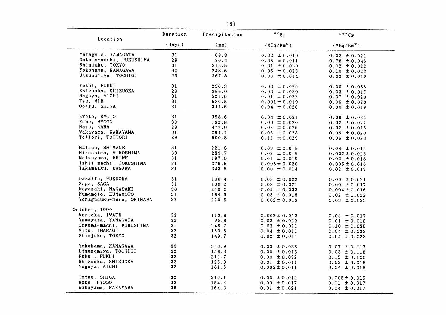| Location                 | Duration        | Precipitation | $\circ \circ_{\mathsf{Sr}}$ | 137Cs                  |
|--------------------------|-----------------|---------------|-----------------------------|------------------------|
|                          | (days)          | (mm)          | $(MBq/Km^2)$                | (MBq/Km <sup>2</sup> ) |
| Yamagata, YAMAGATA       | 31              | 68.3          | $0.02 \pm 0.010$            | $0.02 \pm 0.021$       |
| Ookuma-machi, FUKUSHIMA  | 29              | 80.4          | $0.05 \pm 0.011$            | $0.78 \pm 0.046$       |
| Shinjuku, TOKYO          | 31              | 315.5         | $0.01 \pm 0.030$            | $0.02 \pm 0.022$       |
| Yokohama, KANAGAWA       | 30              | 248.6         | $0.05 \pm 0.023$            | $0.10 \pm 0.023$       |
| Utsunomiya, TOCHIGI      | 29              | 367.8         | $0.00 \pm 0.014$            | $0.02 \pm 0.019$       |
| Fukui, FUKUI             | 31              | 236.3         | $0.00 \pm 0.096$            | $0.00 \pm 0.086$       |
| Shizuoka, SHIZUOKA       | 29              | 388.0         | $0.00 \pm 0.030$            | $0.03 \pm 0.017$       |
| Nagoya, AICHI            | 31              | 521.6         | $0.01 \pm 0.022$            | $0.07 \pm 0.020$       |
| Tsu, MIE                 | 31              | 589.5         | $0.001 \pm 0.010$           | $0.06 \pm 0.020$       |
| Ootsu, SHIGA             | 31              | 344.6         | $0.04 \pm 0.026$            | $0.00 \pm 0.019$       |
| Kyoto, KYOTO             | 31              | 358.6         | $0.04 \pm 0.021$            | $0.08 \pm 0.032$       |
| Kobe, HYOGO              | 30              | 192.8         | $0.00 \pm 0.020$            | $0.02 \pm 0.022$       |
| Nara, NARA               | 29              | 477.0         | $0.02 \pm 0.026$            | $0.02 \pm 0.015$       |
| Wakayama, WAKAYAMA       | 31              | 294.1         | $0.05 \pm 0.028$            | $0.06 \pm 0.020$       |
| Tottori, TOTTORI         | 29              | 500.8         | $0.12 \pm 0.029$            | $0.06 \pm 0.023$       |
| Matsue, SHIMANE          | 31              | 221.8         | $0.03 \pm 0.018$            | $0.04 \pm 0.012$       |
| Hiroshima, HIROSHIMA     | 30              | 239.7         | $0.02 \pm 0.019$            | $0.002 \pm 0.023$      |
| Matsuyama, EHIME         | 31              | 197.0         | $0.01 \pm 0.019$            | $0.03 \pm 0.018$       |
| Ishii-machi, TOKUSHIMA   | 31              | 376.5         | $0.005 \pm 0.020$           | $0.005 \pm 0.018$      |
| Takamatsu, KAGAWA        | 31              | 343.5         | $0.00 \pm 0.014$            | $0.02 \pm 0.017$       |
| Dazaifu, FUKUOKA         | 31              | 100.4         | $0.03 \pm 0.022$            | $0.00 \pm 0.021$       |
| Saga, SAGA               | 31              | 100.2         | $0.03 \pm 0.021$            | $0.00 \pm 0.017$       |
| Nagasaki, NAGASAKI       | 30              | 210.0         | $0.04 \pm 0.033$            | $0.004 \pm 0.016$      |
| Kumamoto, KUMAMOTO       | 31              | 184.6         | $0.03 \pm 0.018$            | $0.02 \pm 0.022$       |
| Yonagusuku-mura, OKINAWA | 32              | 210.5         | $0.002 \pm 0.019$           | $0.03 \pm 0.023$       |
| October, 1990            |                 |               |                             |                        |
| Morioka, IWATE           | ${\bf 32}$      | 113.8         | $0.002 \pm 0.012$           | $0.03 \pm 0.017$       |
| Yamagata, YAMAGATA       | 32 <sub>2</sub> | 96.8          | $0.03 \pm 0.022$            | $0.01 \pm 0.018$       |
| Ookuma-machi, FUKUSHIMA  | 31              | 248.7         | $0.03 \pm 0.011$            | $0.10 \pm 0.025$       |
| Mito, IBARAGI            | 32              | 150.5         | $0.04 \pm 0.011$            | $0.04 \pm 0.023$       |
| Shinjuku, TOKYO          | 32              | 149.7         | $0.02 \pm 0.011$            | $0.04 \pm 0.023$       |
| Yokohama, KANAGAWA       | 33              | 343.9         | $0.03 \pm 0.038$            | $0.07 \pm 0.017$       |
| Utsunomiya, TOCHIGI      | 32              | 158.3         | $0.00 \pm 0.013$            | $0.03 \pm 0.018$       |
| Fukui, FUKUI             | 32 <sub>2</sub> | 212.7         | $0.00 \pm 0.092$            | $0.15 \pm 0.100$       |
| Shizuoka, SHIZUOKA       | 32              | 125.0         | $0.01 \pm 0.011$            | $0.02 \pm 0.018$       |
| Nagoya, AICHI            | 32              | 181.5         | $0.005 \pm 0.011$           | $0.04 \pm 0.018$       |
| Ootsu, SHIGA             | 32              | 219.1         | $0.00 \pm 0.013$            | $0.005 \pm 0.015$      |
| Kobe, HYOGO              | 33              | 154.3         | $0.00 \pm 0.017$            | $0.01 \pm 0.017$       |
| Wakayama, WAKAYAMA       | 36              | 164.3         | $0.01 \pm 0.021$            | $0.04 \pm 0.017$       |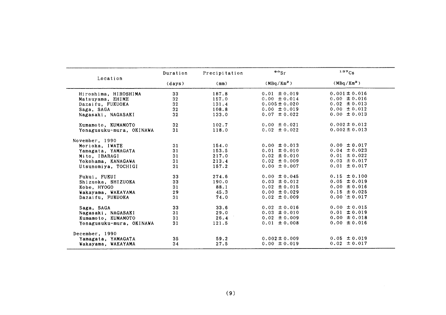|                          | Duration        | Precipitation | $\frac{80}{5}$         | 137Cs                  |
|--------------------------|-----------------|---------------|------------------------|------------------------|
| Location                 | (days)          | (mm)          | (MBq/Km <sup>2</sup> ) | (MBq/Km <sup>2</sup> ) |
| Hiroshima, HIROSHIMA     | 33              | 187.8         | $0.01 \pm 0.019$       | $0.001 \pm 0.016$      |
| Matsuyama, EHIME         | 32              | 157.0         | $0.00 \pm 0.014$       | $0.00 \pm 0.016$       |
| Dazaifu, FUKUOKA         | 32 <sub>2</sub> | 131.4         | $0.005 \pm 0.020$      | $0.02 \pm 0.013$       |
| Saga, SAGA               | 32              | 108.8         | $0.00 \pm 0.019$       | $0.00 \pm 0.012$       |
| Nagasaki, NAGASAKI       | 32 <sub>2</sub> | 133.0         | $0.07 \pm 0.022$       | $0.00 \pm 0.013$       |
| Kumamoto, KUMAMOTO       | 32 <sub>2</sub> | 102.7         | $0.00 \pm 0.021$       | $0.002 \pm 0.012$      |
| Yonagusuku-mura, OKINAWA | 31              | 118.0         | $0.02 \pm 0.022$       | $0.002 \pm 0.013$      |
| November, 1990           |                 |               |                        |                        |
| Morioka, IWATE           | 31              | 154.0         | $0.00 \pm 0.013$       | $0.00 \pm 0.017$       |
| Yamagata, YAMAGATA       | 31              | 153.5         | $0.01 \pm 0.010$       | $0.04 \pm 0.023$       |
| Mito, IBARAGI            | 31              | 217.0         | $0.02 \pm 0.010$       | $0.01 \pm 0.022$       |
| Yokohama, KANAGAWA       | 31              | 213.4         | $0.02 \pm 0.009$       | $0.03 \pm 0.017$       |
| Utsunomiya, TOCHIGI      | 31              | 157.2         | $0.00 \pm 0.007$       | $0.01 \pm 0.017$       |
| Fukui, FUKUI             | 33              | 274.6         | $0.00 \pm 0.045$       | $0.15 \pm 0.100$       |
| Shizuoka, SHIZUOKA       | 33              | 190.0         | $0.03 \pm 0.012$       | $0.05 \pm 0.019$       |
| Kobe, HYOGO              | 31              | 88.1          | $0.02 \pm 0.015$       | $0.00 \pm 0.016$       |
| Wakayama, WAKAYAMA       | 29              | 45.3          | $0.00 \pm 0.029$       | $0.15 \pm 0.025$       |
| Dazaifu, FUKUOKA         | 31              | 74.0          | $0.02 \pm 0.009$       | $0.00 \pm 0.017$       |
| Saga, SAGA               | 33              | 33.6          | $0.02 \pm 0.016$       | $0.00 \pm 0.015$       |
| Nagasaki, NAGASAKI       | 31              | 29.0          | $0.03 \pm 0.010$       | $0.01 \pm 0.019$       |
| Kumamoto, KUMAMOTO       | 31              | 26.4          | $0.02 \pm 0.009$       | $0.00 \pm 0.018$       |
| Yonagusuku-mura, OKINAWA | 31              | 121.5         | $0.01 \pm 0.008$       | $0.00 \pm 0.016$       |
| December, 1990           |                 |               |                        |                        |
| Yamagata, YAMAGATA       | 35              | 59.2          | $0.002 \pm 0.009$      | $0.05 \pm 0.019$       |
| Wakayama, WAKAYAMA       | 34              | 27.5          | $0.00 \pm 0.019$       | $0.02 \pm 0.017$       |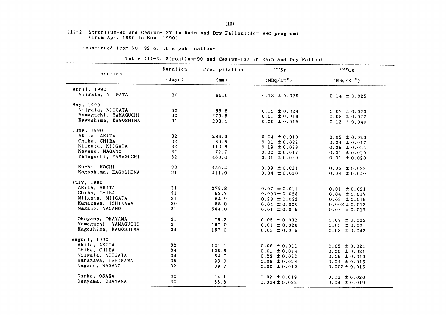#### $(1)-2$  Strontium-90 and Cesium-137 in Rain and Dry Fallout (for WHO program) (from Apr. 1990 to Nov. 1990)

-continued from NO. 92 of this publication-

#### Table (1)-2: Strontium-90 and Cesium-137 in Rain and Dry Fallout

| Location             | Duration        | Precipitation | $\frac{80}{5}$                       | 137Cs                                 |
|----------------------|-----------------|---------------|--------------------------------------|---------------------------------------|
|                      | (days)          | (mm)          | (MBq/Km <sup>2</sup> )               | (MBq/Km <sup>2</sup> )                |
| April, 1990          |                 |               |                                      |                                       |
| Niigata, NIIGATA     | 30              | 86.0          | $0.18 \pm 0.025$                     | $0.14 \pm 0.025$                      |
| May, 1990            |                 |               |                                      |                                       |
| Niigata, NIIGATA     | 32              | 56.6          | $0.15 \pm 0.024$                     | $0.07 \pm 0.023$                      |
| Yamaguchi, YAMAGUCHI | 32 <sub>2</sub> | 279.5         | $0.01 \pm 0.018$                     | $0.08 \pm 0.022$                      |
| Kagoshima, KAGOSHIMA | 31              | 293.0         | $0.05 \pm 0.019$                     | $0.12 \pm 0.040$                      |
| June, 1990           |                 |               |                                      |                                       |
| Akita, AKITA         | 32              | 286.9         | $0.04 \pm 0.010$                     | $0.05 \pm 0.023$                      |
| Chiba, CHIBA         | 32              | 69.5          | $0.01 \pm 0.022$                     | $0.04 \pm 0.017$                      |
| Niigata, NIIGATA     | 32              | 110.8         | $0.19 \pm 0.029$                     | $0.05 \pm 0.022$                      |
| Nagano, NAGANO       | 32              | 72.7          | $0.00 \pm 0.017$                     | $0.01 \pm 0.020$                      |
| Yamaguchi, YAMAGUCHI | 32 <sub>2</sub> | 460.0         | $0.01 \pm 0.020$                     | $0.01 \pm 0.020$                      |
| Kochi, KOCHI         | 33              | 456.4         | $0.09 \pm 0.021$                     | $0.06 \pm 0.022$                      |
| Kagoshima, KAGOSHIMA | 31              | 411.0         | $0.04 \pm 0.020$                     | $0.04 \pm 0.040$                      |
| July, 1990           |                 |               |                                      |                                       |
| Akita, AKITA         | 31              | 279.8         | $0.07 \pm 0.011$                     |                                       |
| Chiba, CHIBA         | 31              | 53.7          | $0.003 \pm 0.023$                    | $0.01 \pm 0.021$                      |
| Niigata, NIIGATA     | 31              | 54.9          | $0.28 \pm 0.032$                     | $0.04 \pm 0.017$                      |
| Kanazawa, ISHIKAWA   | 30              | 88.0          |                                      | $0.03 \pm 0.015$                      |
| Nagano, NAGANO       | 31              | 584.0         | $0.04 \pm 0.020$<br>$0.01 \pm 0.015$ | $0.003 \pm 0.012$<br>$0.04 \pm 0.017$ |
| Okayama, OKAYAMA     | 31              | 79.2          |                                      |                                       |
| Yamaguchi, YAMAGUCHI | 31              | 167.0         | $0.05 \pm 0.032$                     | $0.07 \pm 0.023$                      |
| Kagoshima, KAGOSHIMA | 34              | 157.0         | $0.01 \pm 0.020$<br>$0.03 \pm 0.015$ | $0.03 \pm 0.021$                      |
|                      |                 |               |                                      | $0.08 \pm 0.042$                      |
| August, 1990         |                 |               |                                      |                                       |
| Akita, AKITA         | 32              | 121.1         | $0.06 \pm 0.011$                     | $0.02 \pm 0.021$                      |
| Chiba, CHIBA         | 34              | 105.6         | $0.01 \pm 0.014$                     | $0.06 \pm 0.021$                      |
| Niigata, NIIGATA     | 34              | 64.0          | $0.23 \pm 0.022$                     | $0.05 \pm 0.019$                      |
| Kanazawa, ISHIKAWA   | 35              | 93.0          | $0.06 \pm 0.024$                     | $0.04 \pm 0.015$                      |
| Nagano, NAGANO       | 32              | 39.7          | $0.00 \pm 0.010$                     | $0.003 \pm 0.016$                     |
| Osaka, OSAKA         | 32              | 24.1          | $0.02 \pm 0.019$                     | $0.03 \pm 0.020$                      |
| Okayama, OKAYAMA     | 32              | 56.8          | $0.004 \pm 0.022$                    | $0.04 \pm 0.019$                      |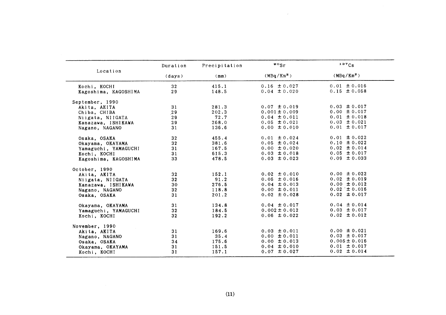|                      | Duration        | Precipitation | $\circ$ sr             | 137Cs                  |
|----------------------|-----------------|---------------|------------------------|------------------------|
| Location             | (days)          | (mm)          | (MBq/Km <sup>2</sup> ) | (MBq/Km <sup>2</sup> ) |
| Kochi, KOCHI         | 32              | 415.1         | $0.16 \pm 0.027$       | $0.01 \pm 0.016$       |
| Kagoshima, KAGOSHIMA | 29              | 148.5         | $0.04 \pm 0.020$       | $0.15 \pm 0.058$       |
| September, 1990      |                 |               |                        |                        |
| Akita, AKITA         | 31              | 281.3         | $0.07 \pm 0.019$       | $0.03 \pm 0.017$       |
| Chiba, CHIBA         | 29              | 202.3         | $0.001 \pm 0.009$      | $0.00 \pm 0.017$       |
| Niigata, NIIGATA     | 29              | 72.7          | $0.04 \pm 0.011$       | $0.01 \pm 0.018$       |
| Kanazawa, ISHIKAWA   | 29              | 268.0         | $0.05 \pm 0.021$       | $0.03 \pm 0.021$       |
| Nagano, NAGANO       | 31              | 136.6         | $0.00 \pm 0.010$       | $0.01 \pm 0.017$       |
| Osaka, OSAKA         | 32              | 455.4         | $0.01 \pm 0.024$       | $0.01 \pm 0.022$       |
| Okayama, OKAYAMA     | 32              | 381.6         | $0.05 \pm 0.024$       | $0.10 \pm 0.022$       |
| Yamaguchi, YAMAGUCHI | 31              | 167.5         | $0.00 \pm 0.020$       | $0.02 \pm 0.014$       |
| Kochi, KOCHI         | 31              | 615.3         | $0.03 \pm 0.018$       | $0.05 \pm 0.017$       |
| Kagoshima, KAGOSHIMA | 33              | 478.5         | $0.03 \pm 0.023$       | $0.09 \pm 0.033$       |
| October, 1990        |                 |               |                        |                        |
| Akita, AKITA         | 32 <sub>2</sub> | 152.1         | $0.02 \pm 0.010$       | $0.00 \pm 0.022$       |
| Niigata, NIIGATA     | 32              | 91.2          | $0.05 \pm 0.016$       | $0.02 \pm 0.019$       |
| Kanazawa, ISHIKAWA   | 30              | 276.5         | $0.04 \pm 0.013$       | $0.00 \pm 0.012$       |
| Nagano, NAGANO       | 32              | 118.8         | $0.00 \pm 0.011$       | $0.02 \pm 0.016$       |
| Osaka, OSAKA         | 31              | 201.2         | $0.02 \pm 0.028$       | $0.02 \pm 0.017$       |
| Okayama, OKAYAMA     | 31              | 134.8         | $0.04 \pm 0.017$       | $0.04 \pm 0.014$       |
| Yamaguchi, YAMAGUCHI | 32              | 184.5         | $0.002 \pm 0.012$      | $0.03 \pm 0.017$       |
| Kochi, KOCHI         | 32              | 192.2         | $0.06 \pm 0.022$       | $0.02 \pm 0.012$       |
| November, 1990       |                 |               |                        |                        |
| Akita, AKITA         | 31              | 169.6         | $0.03 \pm 0.011$       | $0.00 \pm 0.021$       |
| Nagano, NAGANO       | 31              | 35.4          | $0.00 \pm 0.011$       | $0.03 \pm 0.017$       |
| Osaka, OSAKA         | 34              | 175.6         | $0.00 \pm 0.013$       | $0.005 \pm 0.016$      |
| Okayama, OKAYAMA     | 31              | 151.5         | $0.04 \pm 0.010$       | $0.01 \pm 0.017$       |
| Kochi, KOCHI         | 31              | 157.1         | $0.07 \pm 0.027$       | $0.02 \pm 0.014$       |

 $\mathcal{L}^{\text{max}}_{\text{max}}$  and  $\mathcal{L}^{\text{max}}_{\text{max}}$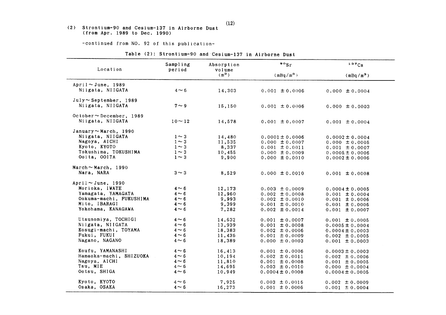# (2) Strontium-90 and Cesium-137 in Airborne Dust<br>(from Apr. 1989 to Dec. 1990)

-continued from NO. 92 of this publication-

| Table (2): Strontium-90 and Cesium-137 in Airborne Dust |  |  |
|---------------------------------------------------------|--|--|
|---------------------------------------------------------|--|--|

| Location                     | Sampling<br>period | Absorption<br>volume | $\circ \circ_{\mathsf{S} \mathbf{r}}$ | 137Cs               |
|------------------------------|--------------------|----------------------|---------------------------------------|---------------------|
|                              |                    | $(m^3)$              | $(mBq/m^3)$                           | $(mBq/m^3)$         |
| April $\sim$ June, 1989      |                    |                      |                                       |                     |
| Niigata, NIIGATA             | $4 \sim 6$         | 14,303               | $0.001 \pm 0.0006$                    | $0.000 \pm 0.0004$  |
| $July \sim September$ , 1989 |                    |                      |                                       |                     |
| Niigata, NIIGATA             | $7 \sim 9$         | 15,150               | $0.001 \pm 0.0006$                    | $0.000 \pm 0.0003$  |
| October~December, 1989       |                    |                      |                                       |                     |
| Niigata, NIIGATA             | $10 - 12$          | 14,578               | $0.001 \pm 0.0007$                    | $0.001 \pm 0.0004$  |
| January $\sim$ March, 1990   |                    |                      |                                       |                     |
| Niigata, NIIGATA             | $1 \sim 3$         | 14,480               | $0.0001 \pm 0.0006$                   | $0.0002 \pm 0.0004$ |
| Nagoya, AICHI                | $1 \sim 3$         | 11,535               | $0.000 \pm 0.0007$                    | $0.000 \pm 0.0005$  |
| Kyoto, KYOTO                 | $1 \sim 3$         | 8,337                | $0.001 \pm 0.0011$                    | $0.001 \pm 0.0007$  |
| Tokushima, TOKUSHIMA         | $1 \sim 3$         | 10,455               | $0.000 \pm 0.0009$                    | $0.0005 \pm 0.0006$ |
| Ooita, OOITA                 | $1 \sim 3$         | 9,900                | $0.000 \pm 0.0010$                    | $0.0002 \pm 0.0006$ |
| March $\sim$ March, 1990     |                    |                      |                                       |                     |
| Nara, NARA                   | $3 \sim 3$         | 8,529                | $0.000 \pm 0.0010$                    | $0.001 \pm 0.0008$  |
| April $\sim$ June, 1990      |                    |                      |                                       |                     |
| Morioka, IWATE               | $4 \sim 6$         | 12,173               | $0.003 \pm 0.0009$                    | $0.0004 \pm 0.0005$ |
| Yamagata, YAMAGATA           | $4 \sim 6$         | 12,960               | $0.002 \pm 0.0008$                    | $0.001 \pm 0.0004$  |
| Ookuma-machi, FUKUSHIMA      | $4 \sim 6$         | 9,993                | $0.002 \pm 0.0010$                    | $0.001 \pm 0.0006$  |
| Mito, IBARAGI                | $4 \sim 6$         | 9,399                | $0.001 \pm 0.0010$                    | $0.001 \pm 0.0006$  |
| Yokohama, KANAGAWA           | $4 \sim 6$         | 7,282                | $0.002 \pm 0.0014$                    | $0.001 \pm 0.0007$  |
| Utsunomiya, TOCHIGI          | $4 \sim 6$         | 14,632               | $0.001 \pm 0.0007$                    | $0.001 \pm 0.0005$  |
| Niigata, NIIGATA             | $4 \sim 6$         | 13,939               | $0.001 \pm 0.0008$                    | $0.0005 \pm 0.0004$ |
| Kosugi-machi, TOYAMA         | $4 \sim 6$         | 18,383               | $0.002 \pm 0.0006$                    | $0.0004 \pm 0.0003$ |
| Fukui, FUKUI                 | $4 \sim 6$         | 11,436               | $0.001 \pm 0.0009$                    | $0.002 \pm 0.0005$  |
| Nagano, NAGANO               | $4 \sim 6$         | 18,389               | $0.000 \pm 0.0003$                    | $0.001 \pm 0.0003$  |
| Koufu, YAMANASHI             | $4 \sim 6$         | 16,413               | $0.001 \pm 0.0006$                    | $0.0003 \pm 0.0003$ |
| Hamaoka-machi, SHIZUOKA      | $4 \sim 6$         | 10,194               | $0.002 \pm 0.0011$                    | $0.002 \pm 0.0006$  |
| Nagoya, AICHI                | $4 \sim 6$         | 11,810               | $0.001 \pm 0.0008$                    | $0.001 \pm 0.0005$  |
| Tsu, MIE                     | $4 \sim 6$         | 14,695               | $0.003 \pm 0.0010$                    | $0.000 \pm 0.0004$  |
| Ootsu, SHIGA                 | $4 \sim 6$         | 10,949               | $0.0004 \pm 0.0008$                   | $0.0004 \pm 0.0005$ |
| Kyoto, KYOTO                 | $4 \sim 6$         | 7,925                | $0.003 \pm 0.0016$                    | $0.002 \pm 0.0009$  |
| Osaka, OSAKA                 | $4 \sim 6$         | 16,273               | $0.001 \pm 0.0006$                    | $0.001 \pm 0.0004$  |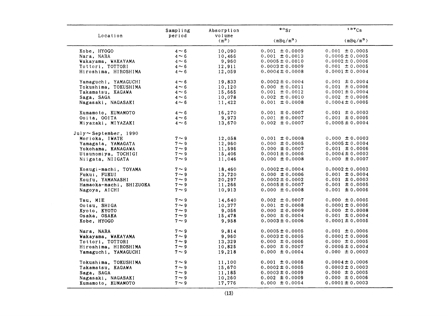| Location                     | Sampling<br>period | Absorption<br>volume | $\mathfrak{so}_{\mathrm{Sr}}$ | 137Cs               |
|------------------------------|--------------------|----------------------|-------------------------------|---------------------|
|                              |                    | $(m^3)$              | $(mBq/m^3)$                   | $(mBq/m^3)$         |
| Kobe, HYOGO                  | $4 \sim 6$         | 10,090               | $0.001 \pm 0.0009$            | $0.001 \pm 0.0005$  |
| Nara, NARA                   | $4 \sim 6$         | 10,466               | $0.001 \pm 0.0013$            | $0.0005 \pm 0.0005$ |
| Wakayama, WAKAYAMA           | $4 \sim 6$         | 9,960                | $0.0005 \pm 0.0010$           | $0.0002 \pm 0.0006$ |
| Tottori, TOTTORI             | $4 \sim 6$         | 12,911               | $0.0003 \pm 0.0009$           | $0.001 \pm 0.0005$  |
| Hiroshima, HIROSHIMA         | $4 \sim 6$         | 12,059               | $0.0004 \pm 0.0008$           | $0.0001 \pm 0.0004$ |
| Yamaguchi, YAMAGUCHI         | $4 \sim 6$         | 19,833               | $0.0002 \pm 0.0004$           | $0.001 \pm 0.0004$  |
| Tokushima, TOKUSHIMA         | $4 \sim 6$         | 10,120               | $0.000 \pm 0.0011$            | $0.001 \pm 0.0006$  |
| Takamatsu, KAGAWA            | $4 \sim 6$         | 15,665               | $0.001 \pm 0.0012$            | $0.0001 \pm 0.0004$ |
| Saga, SAGA                   | $4 \sim 6$         | 10,078               | $0.002 \pm 0.0010$            | $0.002 \pm 0.0006$  |
| Nagasaki, NAGASAKI           | $4 \sim 6$         | 11,422               | $0.001 \pm 0.0008$            | $0.0004 \pm 0.0005$ |
| Kumamoto, KUMAMOTO           | $4 \sim 6$         | 16,270               | $0.001 \pm 0.0007$            | $0.001 \pm 0.0003$  |
| Ooita, OOITA                 | $4 \sim 6$         | 9,973                | $0.001 \pm 0.0007$            | $0.001 \pm 0.0005$  |
| Miyazaki, MIYAZAKI           | $4 \sim 6$         | 13,670               | $0.002 \pm 0.0007$            | $0.0005 \pm 0.0004$ |
| $July \sim September$ , 1990 |                    |                      |                               |                     |
| Morioka, IWATE               | $7 \sim 9$         | 12,058               | $0.001 \pm 0.0008$            | $0.000 \pm 0.0003$  |
| Yamagata, YAMAGATA           | $7 \sim 9$         | 12,960               | $0.000 \pm 0.0005$            | $0.0005 \pm 0.0004$ |
| Yokohama, KANAGAWA           | $7 \sim 9$         | 11,596               | $0.000 \pm 0.0007$            | $0.001 \pm 0.0006$  |
| Utsunomiya, TOCHIGI          | $7 \sim 9$         | 15,406               | $0.0001 \pm 0.0006$           | $0.0004 \pm 0.0003$ |
| Niigata, NIIGATA             | $7 \sim 9$         | 11,046               | $0.000 \pm 0.0008$            | $0.000 \pm 0.0007$  |
| Kosugi-machi, TOYAMA         | $7 \sim 9$         | 18,460               | $0.0002 \pm 0.0004$           | $0.0002 \pm 0.0003$ |
| Fukui, FUKUI                 | $7 \sim 9$         | 13,720               | $0.000 \pm 0.0006$            | $0.001 \pm 0.0004$  |
| Koufu, YAMANASHI             | $7 \sim 9$         | 20,297               | $0.0002 \pm 0.0002$           | $0.001 \pm 0.0003$  |
| Hamaoka-machi, SHIZUOKA      | $7 \sim 9$         | 11,266               | $0.0005 \pm 0.0007$           | $0.001 \pm 0.0005$  |
| Nagoya, AICHI                | $7 \sim 9$         | 10,913               | $0.000 \pm 0.0008$            | $0.001 \pm 0.0006$  |
| Tsu, MIE                     | $7 \sim 9$         | 14,640               | $0.002 \pm 0.0007$            | $0.000 \pm 0.0005$  |
| Ootsu, SHIGA                 | $7 \sim 9$         | 10,377               | $0.001 \pm 0.0008$            | $0.0001 \pm 0.0006$ |
| Kyoto, KYOTO                 | $7 \sim 9$         | 9,056                | $0.000 \pm 0.0009$            | $0.000 \pm 0.0008$  |
| Osaka, OSAKA                 | $7 \sim 9$         | 15,478               | $0.000 \pm 0.0004$            | $0.001 \pm 0.0004$  |
| Kobe, HYOGO                  | $7 \sim 9$         | 9,958                | $0.0003 \pm 0.0006$           | $0.0001 \pm 0.0005$ |
| Nara, NARA                   | $7 \sim 9$         | 9,814                | $0.0005 \pm 0.0005$           | $0.001 \pm 0.0006$  |
| Wakayama, WAKAYAMA           | $7 \sim 9$         | 9,960                | $0.0003 \pm 0.0005$           | $0.0001 \pm 0.0006$ |
| Tottori, TOTTORI             | $7 \sim 9$         | 13,329               | $0.000 \pm 0.0006$            | $0.000 \pm 0.0005$  |
| Hiroshima, HIROSHIMA         | $7 \sim 9$         | 10,825               | $0.000 \pm 0.0007$            | $0.0005 \pm 0.0004$ |
| Yamaguchi, YAMAGUCHI         | $7 \sim 9$         | 19,218               | $0.000 \pm 0.0004$            | $0.000 \pm 0.0003$  |
| Tokushima, TOKUSHIMA         | $7 \sim 9$         | 11,100               | $0.001 \pm 0.0008$            | $0.0004 \pm 0.0006$ |
| Takamatsu, KAGAWA            | $7\sim9$           | 15,670               | $0.0002 \pm 0.0005$           | $0.0003 \pm 0.0003$ |
| Saga, SAGA                   | $7 \sim 9$         | 11,185               | $0.0003 \pm 0.0009$           | $0.000 \pm 0.0005$  |
| Nagasaki, NAGASAKI           | $7 \sim 9$         | 10,260               | $0.002 \pm 0.0009$            | $0.000 \pm 0.0006$  |
| Kumamoto, KUMAMOTO           | $7 \sim 9$         | 17,776               | $0.000 \pm 0.0004$            | $0.0001 \pm 0.0003$ |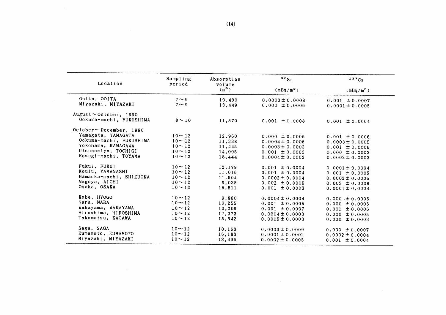| Location                       | Sampling<br>period | Absorption<br>volume | $\frac{80}{5}$      | $137C_S$            |
|--------------------------------|--------------------|----------------------|---------------------|---------------------|
|                                |                    | $(m^3)$              | $(mBq/m^3)$         | $(mBq/m^3)$         |
| Ooita, OOITA                   | $7 \sim 9$         | 10,490               | $0.0003 \pm 0.0008$ | $0.001 \pm 0.0007$  |
| Miyazaki, MIYAZAKI             | $7 \sim 9$         | 13,449               | $0.000 \pm 0.0006$  | $0.0001 \pm 0.0005$ |
| August $\sim$ October, 1990    |                    |                      |                     |                     |
| Ookuma-machi, FUKUSHIMA        | $8 \sim 10$        | 11,570               | $0.001 \pm 0.0008$  | $0.001 \pm 0.0004$  |
| $October \sim December$ , 1990 |                    |                      |                     |                     |
| Yamagata, YAMAGATA             | $10 \sim 12$       | 12,960               | $0.000 \pm 0.0006$  | $0.001 \pm 0.0006$  |
| Ookuma-machi, FUKUSHIMA        | $10 - 12$          | 11,338               | $0.0004 \pm 0.0006$ | $0.0003 \pm 0.0005$ |
| Yokohama, KANAGAWA             | $10 \sim 12$       | 11,445               | $0.0003 \pm 0.0003$ | $0.001 \pm 0.0006$  |
| Utsunomiya, TOCHIGI            | $10 - 12$          | 14,005               | $0.001 \pm 0.0003$  | $0.000 \pm 0.0003$  |
| Kosugi-machi, TOYAMA           | $10 \sim 12$       | 18,444               | $0.0004 \pm 0.0002$ | $0.0002 \pm 0.0003$ |
| Fukui, FUKUI                   | $10 \sim 12$       | 12,179               | $0.001 \pm 0.0004$  | $0.0001 \pm 0.0004$ |
| Koufu, YAMANASHI               | $10 - 12$          | 11,016               | $0.001 \pm 0.0004$  | $0.001 \pm 0.0005$  |
| Hamaoka-machi, SHIZUOKA        | $10 \sim 12$       | 11,504               | $0.0002 \pm 0.0004$ | $0.0002 \pm 0.0005$ |
| Nagoya, AICHI                  | $10 \sim 12$       | 9,035                | $0.002 \pm 0.0006$  | $0.003 \pm 0.0008$  |
| Osaka, OSAKA                   | $10 \sim 12$       | 15,511               | $0.001 \pm 0.0003$  | $0.0001 \pm 0.0004$ |
| Kobe, HYOGO                    | $10 - 12$          | 9,860                | $0.0004 \pm 0.0004$ | $0.000 \pm 0.0005$  |
| Nara, NARA                     | $10 - 12$          | 10.255               | $0.001 \pm 0.0005$  | $0.000 \pm 0.0005$  |
| Wakayama, WAKAYAMA             | $10 \sim 12$       | 10,209               | $0.001 \pm 0.0007$  | $0.001 \pm 0.0006$  |
| Hiroshima, HIROSHIMA           | $10 \sim 12$       | 12,373               | $0.0004 \pm 0.0003$ | $0.000 \pm 0.0005$  |
| Takamatsu, KAGAWA              | $10 \sim 12$       | 15,642               | $0.0005 \pm 0.0003$ | $0.000 \pm 0.0003$  |
| Saga, SAGA                     | $10 \sim 12$       | 10,163               | $0.0003 \pm 0.0009$ | $0.000 \pm 0.0007$  |
| Kumamoto, KUMAMOTO             | $10 - 12$          | 16,183               | $0.0001 \pm 0.0002$ | $0.0002 \pm 0.0004$ |
| Miyazaki, MIYAZAKI             | $10 - 12$          | 13,496               | $0.0002 \pm 0.0005$ | $0.001 \pm 0.0004$  |

 $\sim 10$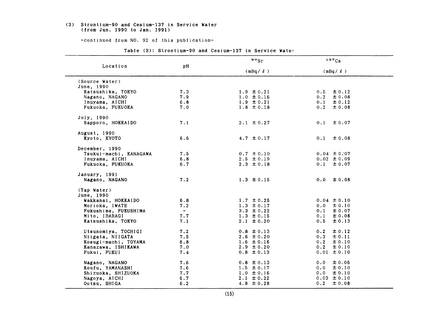#### (3) Strontium-90 and Cesium-137in Service Vater (from Jun. 1990 to Jan. 1991)

-continued from NO. 92 of this publication-

|                        |                          | $\circ$ sr     | $137C_S$          |
|------------------------|--------------------------|----------------|-------------------|
| Location               | pH                       | $(mBq / \ell)$ | $(mBq / \ell)$    |
| (Source Water)         |                          |                |                   |
| June, 1990             |                          |                |                   |
| Katsushika, TOKYO      | 7.3                      | $1.9 \pm 0.21$ | ± 0.12<br>0.5     |
| Nagano, NAGANO         | 7.9                      | $1.0 \pm 0.16$ | 0.2<br>± 0.08     |
| Inuyama, AICHI         | 6.8                      | $1.9 \pm 0.21$ | 0.1<br>± 0.12     |
| Fukuoka, FUKUOKA       | 7.0                      | $1.8 \pm 0.18$ | 0.2<br>± 0.08     |
| July, 1990             |                          |                |                   |
| Sapporo, HOKKAIDO      | 7.1                      | $2.1 \pm 0.27$ | $0.1 \pm 0.07$    |
| August, 1990           |                          |                |                   |
| Kyoto, KYOTO           | 6.6                      | 4.7 $\pm$ 0.17 | 0.1<br>± 0.08     |
| December, 1990         |                          |                |                   |
| Tsukui-machi, KANAGAWA | 7.5                      | $0.7 \pm 0.10$ | $0.04 \pm 0.07$   |
| Inuyama, AICHI         | 6.8                      | $2.5 \pm 0.19$ | $0.02 \pm 0.09$   |
| Fukuoka, FUKUOKA       | 6.7                      | $2.3 \pm 0.18$ | $0.1 \pm 0.07$    |
| January, 1991          |                          |                |                   |
| Nagano, NAGANO         | 7.2                      | $1.3 \pm 0.15$ | $0.0 \pm 0.08$    |
| (Tap Water)            |                          |                |                   |
| June, 1990             |                          |                |                   |
| Wakkanai, HOKKAIDO     | 6.8                      | $1.7 \pm 0.25$ | $0.04 \pm 0.10$   |
| Morioka, IWATE         | 7.2                      | $1.3 \pm 0.17$ | $0.0 \pm 0.10$    |
| Fukushima, FUKUSHIMA   | $\overline{\phantom{a}}$ | $3.3 \pm 0.22$ | $0.1 \pm 0.07$    |
| Mito, IBARAGI          | 7.7                      | $1.3 \pm 0.15$ | 0.1<br>± 0.08     |
| Katsushika, TOKYO      | 7.1                      | $2.1 \pm 0.20$ | ± 0.13<br>0.5     |
| Utsunomiya, TOCHIGI    | 7.2                      | $0.8 \pm 0.13$ | $\pm 0.12$<br>0.2 |
| Niigata, NIIGATA       | 7.5                      | $2.6 \pm 0.20$ | $0.3 \pm 0.11$    |
| Kosugi-machi, TOYAMA   | 6.8                      | $1.6 \pm 0.16$ | 0.2<br>± 0.10     |
| Kanazawa, ISHIKAWA     | 7.0                      | $2.9 \pm 0.20$ | $\pm 0.10$<br>0.2 |
| Fukui, FUKUI           | 7.4                      | $0.8 \pm 0.13$ | $0.01 \pm 0.10$   |
| Nagano, NAGANO         | 7.6                      | $0.8 \pm 0.13$ | 0.0<br>± 0.06     |
| Koufu, YAMANASHI       | 7.6                      | $1.5 \pm 0.17$ | $0.0 \pm 0.10$    |
| Shizuoka, SHIZUOKA     | 7.7                      | $1.0 \pm 0.16$ | 0.0<br>± 0.10     |
| Nagoya, AICHI          | 6.7                      | $2.1 \pm 0.22$ | $0.03 \pm 0.10$   |
|                        | 6.2                      | $4.8 \pm 0.28$ | $0.2 \pm 0.08$    |

Table (3): Strontium-90 and Cesium-137 in Service Water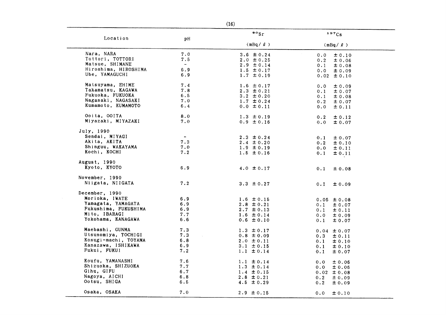| Location             | рH             | $\circ \circ_{\mathsf{Sr}}$ | 137Cs             |
|----------------------|----------------|-----------------------------|-------------------|
|                      |                | $(mBq / \ell)$              | $(mBq / \ell)$    |
| Nara, NARA           | 7.0            | 3.6 $\pm 0.24$              | 0.0<br>± 0.10     |
| Tottori, TOTTORI     | 7.5            | $2.0 \pm 0.25$              | 0.2<br>± 0.06     |
| Matsue, SHIMANE      | $\blacksquare$ | $2.9 \pm 0.14$              | 0.1<br>± 0.08     |
| Hiroshima, HIROSHIMA | 6.9            | $1.5 \pm 0.17$              | 0.0<br>± 0.09     |
| Ube, YAMAGUCHI       | 6.9            | $1.7 \pm 0.19$              | $0.02 \pm 0.10$   |
| Matsuyama, EHIME     | 7.4            | 1.6 $\pm$ 0.17              | 0.0<br>± 0.09     |
| Takamatsu, KAGAWA    | 7.8            | $2.3 \pm 0.21$              | 0.1<br>± 0.07     |
| Fukuoka, FUKUOKA     | 6.5            | $3.2 \pm 0.20$              | 0.1<br>± 0.08     |
| Nagasaki, NAGASAKI   | 7.0            | $1.7 \pm 0.24$              | 0.2<br>± 0.07     |
| Kumamoto, KUMAMOTO   | 6.4            | $0.0 \pm 0.11$              | 0.0<br>± 0.11     |
| Ooita, OOITA         | 8.0            | $1.3 \pm 0.19$              | 0.2<br>± 0.12     |
| Miyazaki, MIYAZAKI   | 7.0            | $0.9 \pm 0.16$              | 0.0<br>± 0.07     |
| July, 1990           |                |                             |                   |
| Sendai, MIYAGI       | $\sim$         | $2.3 \pm 0.24$              | 0.1<br>± 0.07     |
| Akita, AKITA         | 7.3            | $2.4 \pm 0.20$              | 0.2<br>± 0.10     |
| Shinguu, WAKAYAMA    | 7.0            | $1.9 \pm 0.19$              | 0.0<br>± 0.11     |
| Kochi, KOCHI         | 7.2            | $1.5 \pm 0.16$              | 0.1<br>± 0.11     |
| August, 1990         |                |                             |                   |
| Kyoto, KYOTO         | 6.9            | 4.0 $\pm$ 0.17              | 0.1<br>± 0.08     |
| November, 1990       |                |                             |                   |
| Niigata, NIIGATA     | 7.2            | $3.3 \pm 0.27$              | 0.1<br>± 0.09     |
| December, 1990       |                |                             |                   |
| Morioka, IWATE       | 6.9            | $1.6 \pm 0.15$              | $0.05 \pm 0.08$   |
| Yamagata, YAMAGATA   | 6.9            | $2.8 \pm 0.21$              | 0.1<br>± 0.07     |
| Fukushima, FUKUSHIMA | 6.9            | $2.7 \pm 0.13$              | 0.1<br>± 0.11     |
| Mito, IBARAGI        | 7.7            | $1.6 \pm 0.14$              | 0.0<br>士 0.09     |
| Yokohama, KANAGAWA   | 6.6            | $0.6 \pm 0.10$              | 0.1<br>± 0.07     |
| Maebashi, GUNMA      | 7.3            | $1.3 \pm 0.17$              | $0.04 \pm 0.07$   |
| Utsunomiya, TOCHIGI  | 7.3            | $0.8 \pm 0.09$              | 0.3<br>$\pm$ 0.11 |
| Kosugi-machi, TOYAMA | 6.8            | $2.0 \pm 0.11$              | 0.1<br>± 0.10     |
| Kanazawa, ISHIKAWA   | 6.9            | $3.1 \pm 0.15$              | 0.1<br>± 0.10     |
| Fukui, FUKUI         | 7.2            | $1.1 \pm 0.14$              | 0.1<br>± 0.07     |
| Koufu, YAMANASHI     | 7.6            | $1.1 \pm 0.14$              | 0.0<br>± 0.06     |
| Shizuoka, SHIZUOKA   | 7.7            | $1.3 \pm 0.14$              | 0.0<br>± 0.06     |
| Gihu, GIFU           | 6.7            | $1.4 \pm 0.15$              | $0.02 \pm 0.08$   |
| Nagoya, AICHI        | 6.8            | $2.8 \pm 0.21$              | 0.2<br>± 0.09     |
| Ootsu, SHIGA         | 6.5            | $4.5 \pm 0.29$              | 0.2<br>± 0.09     |
| Osaka, OSAKA         | 7.0            | $2.9 \pm 0.15$              | 0.0<br>± 0.10     |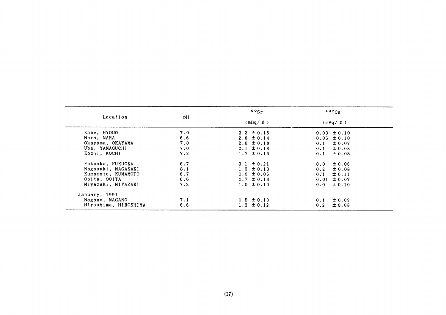|                      | рH  | $\frac{80}{5}$ | 137C <sub>S</sub> |
|----------------------|-----|----------------|-------------------|
| Location             |     | $(mBq / \ell)$ | $(mBq / \ell)$    |
| Kobe, HYOGO          | 7.0 | $3.3 \pm 0.16$ | $0.03 \pm 0.10$   |
| Nara, NARA           | 6.6 | $2.8 \pm 0.14$ | $0.05 \pm 0.10$   |
| Okayama, OKAYAMA     | 7.0 | $2.6 \pm 0.18$ | ± 0.07<br>0.1     |
| Ube, YAMAGUCHI       | 7.0 | $2.1 \pm 0.18$ | $\pm 0.08$<br>0.1 |
| Kochi, KOCHI         | 7.2 | $1.7 \pm 0.16$ | $\pm 0.08$<br>0.1 |
| Fukuoka, FUKUOKA     | 6.7 | $3.1 \pm 0.21$ | $\pm 0.06$<br>0.0 |
| Nagasaki, NAGASAKI   | 8.1 | $1.3 \pm 0.13$ | 0.2<br>$\pm 0.08$ |
| Kumamoto, KUMAMOTO   | 6.7 | $0.0 \pm 0.06$ | $\pm 0.11$<br>0.1 |
| Ooita, OOITA         | 6.6 | $0.7 \pm 0.14$ | $0.01 \pm 0.07$   |
| Miyazaki, MIYAZAKI   | 7.2 | $1.0 \pm 0.10$ | $\pm 0.10$<br>0.0 |
| January, 1991        |     |                |                   |
| Nagano, NAGANO       | 7.1 | $0.5 \pm 0.10$ | ± 0.09<br>0.1     |
| Hiroshima, HIROSHIMA | 6.6 | $1.3 \pm 0.12$ | $\pm 0.08$<br>0.2 |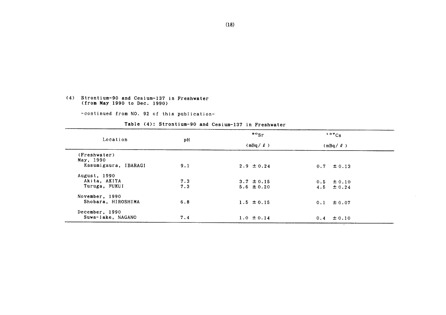#### (4) Strontium-90 and Cesium-137 in Freshwater (from Hay1990 to Dec.1990)

-COntinued from NO.92 0f this publication-

|                      |     | $\frac{80}{5}$ | 137Cs          |  |
|----------------------|-----|----------------|----------------|--|
| Location             | pH  | $(mBa / \ell)$ | $(mBq / \ell)$ |  |
| (Freshwater)         |     |                |                |  |
| May, 1990            |     |                |                |  |
| Kasumigaura, IBARAGI | 9.1 | $2.9 \pm 0.24$ | $0.7 \pm 0.13$ |  |
| August, 1990         |     |                |                |  |
| Akita, AKITA         | 7.3 | $3.7 \pm 0.15$ | $0.5 \pm 0.10$ |  |
| Turuga, FUKUI        | 7.3 | $5.6 \pm 0.20$ | $4.5 \pm 0.24$ |  |
| November, 1990       |     |                |                |  |
| Shobara, HIROSHIMA   | 6.8 | $1.5 \pm 0.15$ | $0.1 \pm 0.07$ |  |
| December, 1990       |     |                |                |  |
| Suwa-lake, NAGANO    | 7.4 | $1.0 \pm 0.14$ | $0.4 \pm 0.10$ |  |
|                      |     |                |                |  |

#### Table (4): Strontium-90 and Cesium-137 in Freshwater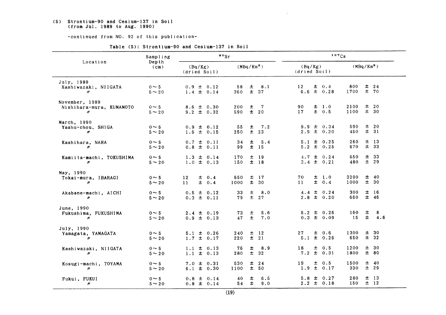(5) Strontium-90 and Cesium-137 in Soil  $($ from Jul. 1989 to Aug. 1990 $)$ 

-COntinued from NO.92 0f this publication-

|                                                                 | Sampling                  |                                             | $\cdot \cdot$ sr                          | 137Cs                                                        |                                         |
|-----------------------------------------------------------------|---------------------------|---------------------------------------------|-------------------------------------------|--------------------------------------------------------------|-----------------------------------------|
| Location                                                        | Depth<br>$(c_m)$          | (Bq/Kg)<br>(dried Soil)                     | $(MBq/Km^2)$                              | (Bq/Kg)<br>(dried Soil)                                      | (MBq/Km <sup>2</sup> )                  |
| July, 1989<br>Kashiwazaki, NIIGATA<br>n                         | $0 \sim 5$<br>$5 \sim 20$ | $0.9 \pm 0.12$<br>$1.4 \pm 0.14$            | 士<br>8.1<br>58<br>± 37<br>360             | 12 <sub>2</sub><br>$\pm 0.4$<br>$6.6 \pm 0.28$<br>1700       | 800<br>$±$ 24<br>±70                    |
| November, 1989<br>Nishihara-mura, KUMAMOTO<br>$\prime\prime$    | $0 \sim 5$<br>$5 \sim 20$ | $8.6 \pm 0.30$<br>$9.2 \pm 0.32$            | $\overline{7}$<br>土<br>200<br>± 20<br>590 | 90<br>± 1.0<br>2100<br>± 0.5<br>17<br>1100                   | ± 20<br>± 30                            |
| March, 1990<br>Yashu-chou, SHIGA<br>$^{\prime\prime}$           | $0 \sim 5$<br>$5 \sim 20$ | $0.9 \pm 0.12$<br>$1.6 \pm 0.15$            | 55<br>$\pm$<br>7.2<br>$\pm$<br>250<br>23  | $9.9 \pm 0.34$<br>$2.9 \pm 0.20$                             | ± 20<br>590<br>± 31<br>450              |
| Kashihara, NARA<br>$\boldsymbol{\prime\prime}$                  | $0 \sim 5$<br>$5 \sim 20$ | $0.7 \pm 0.11$<br>$0.8 \pm 0.11$            | 士<br>34<br>5.4<br>99<br>$±$ 15            | $5.1 \pm 0.25$<br>$5.2 \pm 0.25$                             | $±$ 13<br>260<br>± 33<br>670            |
| Kamiita-machi, TOKUSHIMA<br>$\prime\prime$                      | $0 \sim 5$<br>$5 \sim 20$ | $1.3 \pm 0.14$<br>$1.0 \pm 0.13$            | $±$ 19<br>170<br>$±$ 18<br>150            | $4.7 \pm 0.24$<br>3.4 $\pm$ 0.21                             | ± 33<br>650<br>$±$ 29<br>480            |
| May, 1990<br>Tokai-mura, IBARAGI<br>$\boldsymbol{\prime\prime}$ | $0 \sim 5$<br>$5 \sim 20$ | ± 0.4<br>12 <sup>°</sup><br>$\pm 0.4$<br>11 | $\pm$ 17<br>550<br>±.<br>1000<br>- 30     | $\pm$ 1.0<br>3200<br>70<br>± 0.4<br>11<br>1000               | ± 40<br>± 30                            |
| Akabane-machi, AICHI<br>$\prime\prime$                          | $0 \sim 5$<br>$5 \sim 20$ | $0.5 \pm 0.12$<br>$0.3 \pm 0.11$            | 8.0<br>33<br>士<br>$±$ 27<br>79            | 4.4 $\pm$ 0.24<br>$2.8 \pm 0.20$                             | ±16<br>300<br>± 46<br>660               |
| June, 1990<br>Fukushima, FUKUSHIMA<br>$\prime\prime$            | $0 \sim 5$<br>$5 \sim 20$ | $2.4 \pm 0.19$<br>$0.9 \pm 0.13$            | $\pm$<br>5.6<br>73<br>$\pm$<br>47<br>7.0  | $5.2 \pm 0.26$<br>$0.3 \pm 0.09$                             | $\pm$<br>160<br>8<br>$\pm$<br>15<br>4.6 |
| July, 1990<br>Yamagata, YAMAGATA<br>$\boldsymbol{\prime\prime}$ | $0 \sim 5$<br>$5 \sim 20$ | $5.1 \pm 0.26$<br>$1.7 \pm 0.17$            | 240<br>$\pm$ 12<br>$\pm$<br>220<br>21     | 1300<br>27 <sub>2</sub><br>$\pm$ 0.6<br>± 0.26<br>650<br>5.1 | ± 30<br>$±$ 32                          |
| Kashiwazaki, NIIGATA<br>$\prime\prime$                          | $0 \sim 5$<br>$5 \sim 20$ | $1.1 \pm 0.13$<br>$1.1 \pm 0.13$            | 76<br>士<br>8.9<br>±<br>32<br>280          | $\pm$ 0.5<br>1200<br>18<br>$7.2 \pm 0.31$<br>1800            | ±30<br>± 80                             |
| Kosugi-machi, TOYAMA<br>$\prime\prime$                          | $0 \sim 5$<br>$5 \sim 20$ | $7.0 \pm 0.31$<br>$6.1 \pm 0.30$            | $±$ 24<br>530<br>± 50<br>1100             | $\pm$ 0.5<br>19<br>1500<br>$1.9 \pm 0.17$                    | ± 40<br>± 29<br>330                     |
| Fukui, FUKUI<br>n                                               | $0 \sim 5$<br>$5 \sim 20$ | $0.8 \pm 0.14$<br>$0.8 \pm 0.14$            | 40<br>土.<br>6.5<br>$\pm$<br>54<br>9.0     | $5.8 \pm$<br>0.27<br>$2.2 \pm 0.18$                          | $±$ 13<br>280<br>$\pm$ 12<br>150        |

 $\mathcal{L}$ 

Table (5): Strontium-90 and Cesium-137 in Soil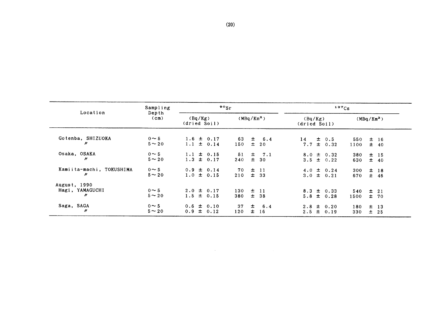|                                                      | Sampling                                 | $\frac{80}{s}$                   |                                    | 137Cs                            |                                  |  |
|------------------------------------------------------|------------------------------------------|----------------------------------|------------------------------------|----------------------------------|----------------------------------|--|
| Location                                             | Depth<br>(Bq/Kg)<br>(cm)<br>(dried Soil) | (MBq/Km <sup>2</sup> )           | (Bq/Kg)<br>(dried Soil)            | $(MBq/Km^2)$                     |                                  |  |
| Gotenba, SHIZUOKA<br>n                               | $0 \sim 5$<br>$5 \sim 20$                | $1.6 \pm 0.17$<br>$1.1 \pm 0.14$ | $\pm$ 6.4<br>63<br>$\pm$ 20<br>150 | $14 \pm 0.5$<br>$7.7 \pm 0.32$   | 550<br>$±$ 16<br>± 40<br>1100    |  |
| Osaka, OSAKA<br>$\prime\prime$                       | $0 \sim 5$<br>$5 \sim 20$                | $1.1 \pm 0.15$<br>$1.3 \pm 0.17$ | $\pm$ 7.1<br>51<br>± 30<br>240     | $8.0 \pm 0.32$<br>$3.5 \pm 0.22$ | $±$ 15<br>380<br>$\pm$ 40<br>630 |  |
| Kamiita-machi, TOKUSHIMA<br>n                        | $0 \sim 5$<br>$5 \sim 20$                | $0.9 \pm 0.14$<br>$1.0 \pm 0.15$ | $70 \pm 11$<br>$\pm$ 33<br>210     | $4.0 \pm 0.24$<br>$3.0 \pm 0.21$ | $±$ 18<br>300<br>$±$ 46<br>670   |  |
| August, 1990<br>Hagi, YAMAGUCHI<br>$\boldsymbol{''}$ | $0 \sim 5$<br>$5 \sim 20$                | $2.0 \pm 0.17$<br>$1.5 \pm 0.15$ | 130<br>$\pm$ 11<br>$±$ 38<br>380   | $8.3 \pm 0.33$<br>$5.8 \pm 0.28$ | 540<br>$\pm$ 21<br>±70<br>1500   |  |
| Saga, SAGA<br>$\prime\prime$                         | $0 \sim 5$<br>$5 \sim 20$                | $0.6 \pm 0.10$<br>$0.9 \pm 0.12$ | 土<br>6.4<br>37<br>士<br>120<br>16   | $2.8 \pm 0.20$<br>$2.5 \pm 0.19$ | $±$ 13<br>180<br>$\pm$ 25<br>330 |  |

 $\sim 100$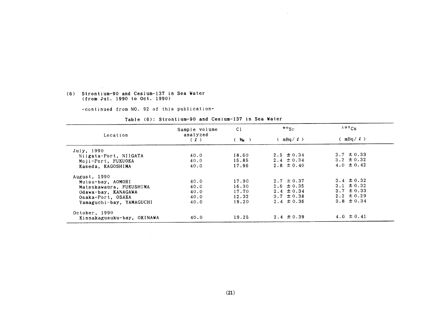#### (6) Strontium-90 and Cesium-137in Sea Water (fromJul.1990 to Oct.1990)

 $\sim 10^{-1}$ 

-COntinued from NO.92 0f this publication-

 $\mathcal{L}^{\text{max}}_{\text{max}}$  and  $\mathcal{L}^{\text{max}}_{\text{max}}$ 

|                            | Sample volume   | C <sub>1</sub> | $\mathfrak{so}_{\mathrm{Sr}}$ | 137Cs           |  |
|----------------------------|-----------------|----------------|-------------------------------|-----------------|--|
| Location                   | analyzed<br>(2) | (96)           | $(mBq/\ell)$                  | (mBa/l)         |  |
| July, 1990                 |                 |                |                               |                 |  |
| Niigata-Port, NIIGATA      | 40.0            | 18.60          | $2.5 \pm 0.34$                | $3.7 \pm 0.33$  |  |
| Moji-Port, FUKUOKA         | 40.0            | 15.85          | $2.4 \pm 0.34$                | $3.2 \pm 0.32$  |  |
| Kaseda, KAGOSHIMA          | 40.0            | 17.96          | $2.8 \pm 0.40$                | 4.0 $\pm$ 0.42  |  |
| August, 1990               |                 |                |                               |                 |  |
| Mutsu-bay, AOMORI          | 40.0            | 17.90          | $2.7 \pm 0.37$                | $3.4 \pm 0.32$  |  |
| Matsukawaura, FUKUSHIMA    | 40.0            | 16.30          | $2.6 \pm 0.35$                | $3.1 \pm 0.32$  |  |
| Odawa-bay, KANAGAWA        | 40.0            | 17.70          | $2.4 \pm 0.34$                | $3.7 \pm 0.33$  |  |
| Osaka-Port, OSAKA          | 40.0            | 12.32          | $3.7 \pm 0.38$                | $2.2 \pm 0.29$  |  |
| Yamaguchi-bay, YAMAGUCHI   | 40.0            | 19.20          | $2.4 \pm 0.36$                | $3.8 \pm 0.34$  |  |
| October, 1990              |                 |                |                               |                 |  |
| Kinnakagusuku-bay, OKINAWA | 40.0            | 19.25          | $2.4 \pm 0.39$                | 4.0. $\pm$ 0.41 |  |

 $\sim 10^{-5}$ 

#### Table (6): Strontium-90 and Cesium-137 in Sea Water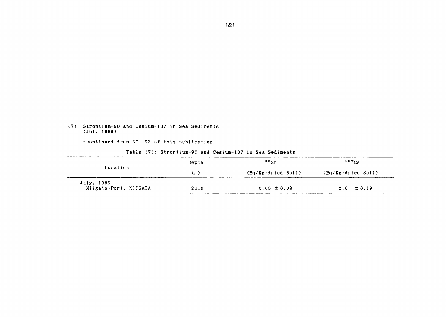# (7) Strontium-90 and Cesium-137 in Sea Sediments<br>(Jul. 1989)

-continued from NO. 92 of this publication-

|                                     | Depth | $\cdot \cdot$                     | $137C_S$                |
|-------------------------------------|-------|-----------------------------------|-------------------------|
| Location                            | (m)   | $(Bq/Kg \cdot d\text{ried Soil})$ | $(Bq/Kg \cdot d)$ Soil) |
| July, 1989<br>Niigata-Port, NIIGATA | 20.0  | $0.00 \pm 0.08$                   | $2.6 \pm 0.19$          |

#### Table (7): Strontium-90 and Cesium-137 in Sea Sediments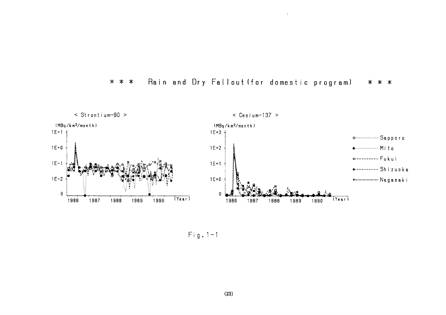#### Rain and Dry Fallout (for domestic program) \* \* \* \* \* \*

 $\bar{f}$ 



 $Fig. 1-1$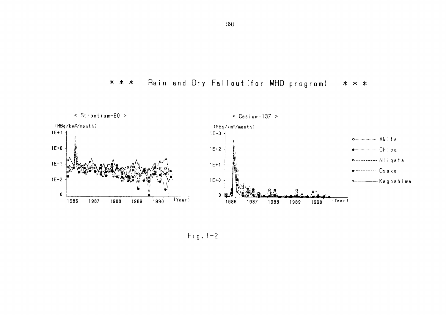



 $Fig. 1-2$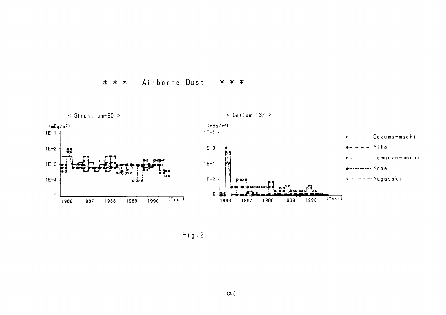Airborne Dust  $* * *$ \* \* \*



 $\hat{J}$  .

 $Fig. 2$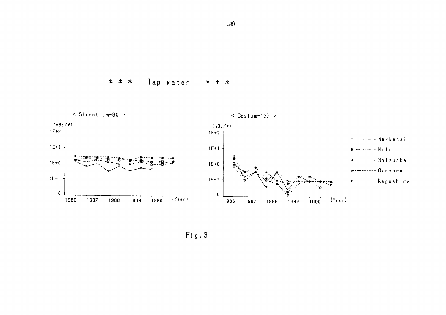Tap water  $* * *$ \* \* \*



Fig.3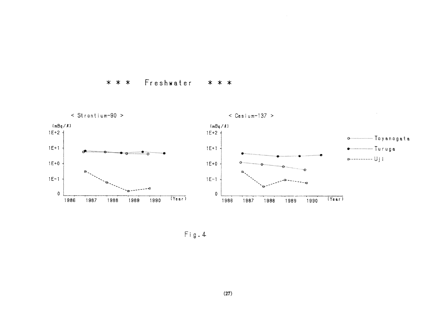Freshwater  $* * *$ \* \* \*



 $\mathsf{Fig.4}$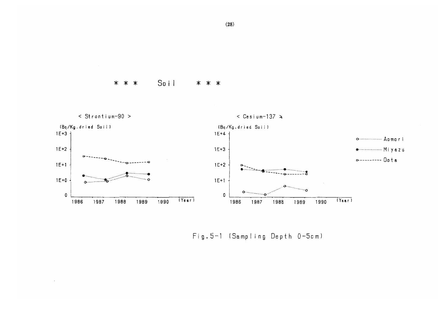Soil \* \* \* \* \* \*

 $\sim$ 



Fig. 5-1 (Sampling Depth 0-5cm)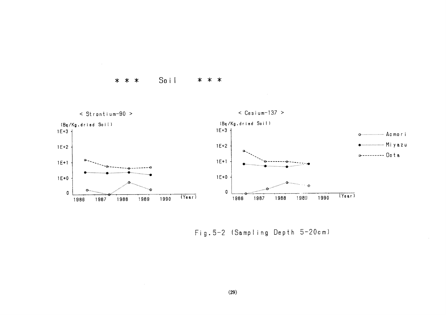

 $\sim$ 





Fig. 5-2 (Sampling Depth 5-20cm)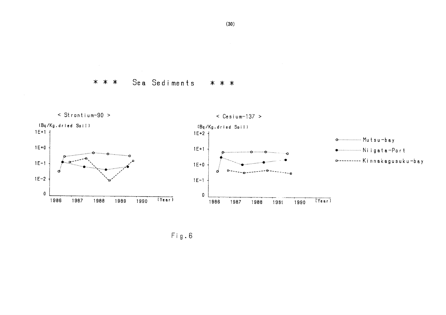Sea Sediments \* \* \* \* \* \*



 $Fig. 6$